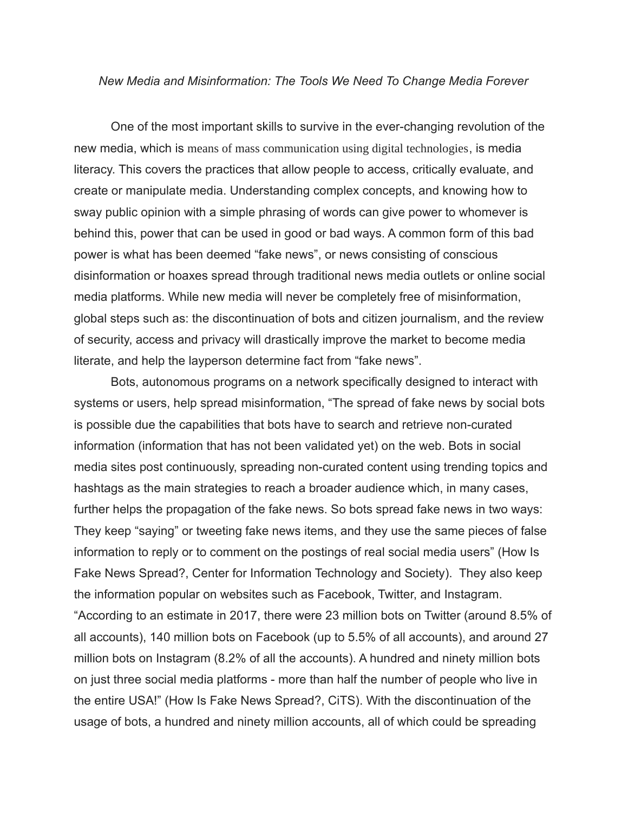## *New Media and Misinformation: The Tools We Need To Change Media Forever*

One of the most important skills to survive in the ever-changing revolution of the new media, which is means of mass communication using digital technologies, is media literacy. This covers the practices that allow people to access, critically evaluate, and create or manipulate media. Understanding complex concepts, and knowing how to sway public opinion with a simple phrasing of words can give power to whomever is behind this, power that can be used in good or bad ways. A common form of this bad power is what has been deemed "fake news", or news consisting of conscious disinformation or hoaxes spread through traditional news media outlets or online social media platforms. While new media will never be completely free of misinformation, global steps such as: the discontinuation of bots and citizen journalism, and the review of security, access and privacy will drastically improve the market to become media literate, and help the layperson determine fact from "fake news".

Bots, autonomous programs on a network specifically designed to interact with systems or users, help spread misinformation, "The spread of fake news by social bots is possible due the capabilities that bots have to search and retrieve non-curated information (information that has not been validated yet) on the web. Bots in social media sites post continuously, spreading non-curated content using trending topics and hashtags as the main strategies to reach a broader audience which, in many cases, further helps the propagation of the fake news. So bots spread fake news in two ways: They keep "saying" or tweeting fake news items, and they use the same pieces of false information to reply or to comment on the postings of real social media users" (How Is Fake News Spread?, Center for Information Technology and Society). They also keep the information popular on websites such as Facebook, Twitter, and Instagram. "According to an estimate in 2017, there were 23 million bots on Twitter (around 8.5% of all accounts), 140 million bots on Facebook (up to 5.5% of all accounts), and around 27 million bots on Instagram (8.2% of all the accounts). A hundred and ninety million bots on just three social media platforms - more than half the number of people who live in the entire USA!" (How Is Fake News Spread?, CiTS). With the discontinuation of the usage of bots, a hundred and ninety million accounts, all of which could be spreading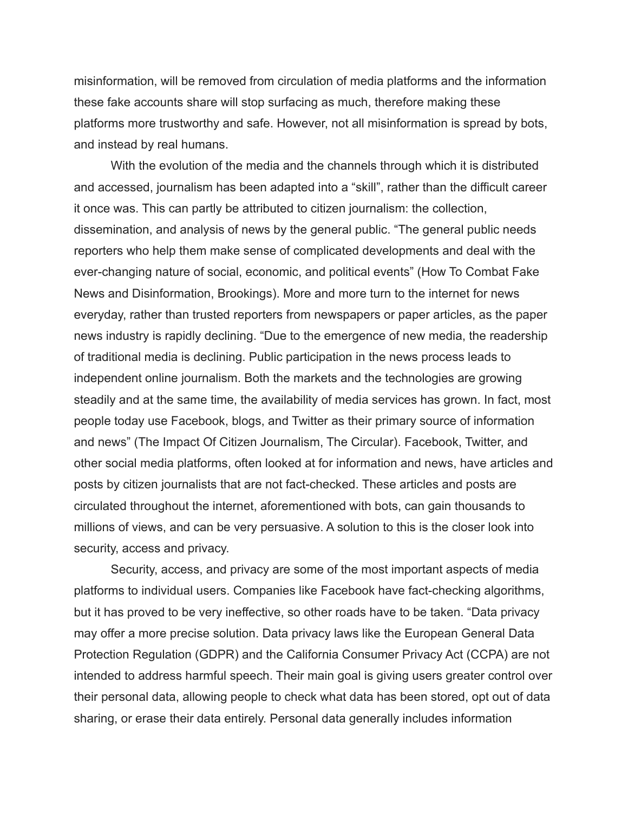misinformation, will be removed from circulation of media platforms and the information these fake accounts share will stop surfacing as much, therefore making these platforms more trustworthy and safe. However, not all misinformation is spread by bots, and instead by real humans.

With the evolution of the media and the channels through which it is distributed and accessed, journalism has been adapted into a "skill", rather than the difficult career it once was. This can partly be attributed to citizen journalism: the collection, dissemination, and analysis of news by the general public. "The general public needs reporters who help them make sense of complicated developments and deal with the ever-changing nature of social, economic, and political events" (How To Combat Fake News and Disinformation, Brookings). More and more turn to the internet for news everyday, rather than trusted reporters from newspapers or paper articles, as the paper news industry is rapidly declining. "Due to the emergence of new media, the readership of traditional media is declining. Public participation in the news process leads to independent online journalism. Both the markets and the technologies are growing steadily and at the same time, the availability of media services has grown. In fact, most people today use Facebook, blogs, and Twitter as their primary source of information and news" (The Impact Of Citizen Journalism, The Circular). Facebook, Twitter, and other social media platforms, often looked at for information and news, have articles and posts by citizen journalists that are not fact-checked. These articles and posts are circulated throughout the internet, aforementioned with bots, can gain thousands to millions of views, and can be very persuasive. A solution to this is the closer look into security, access and privacy.

Security, access, and privacy are some of the most important aspects of media platforms to individual users. Companies like Facebook have fact-checking algorithms, but it has proved to be very ineffective, so other roads have to be taken. "Data privacy may offer a more precise solution. Data privacy laws like the European General Data Protection Regulation (GDPR) and the California Consumer Privacy Act (CCPA) are not intended to address harmful speech. Their main goal is giving users greater control over their personal data, allowing people to check what data has been stored, opt out of data sharing, or erase their data entirely. Personal data generally includes information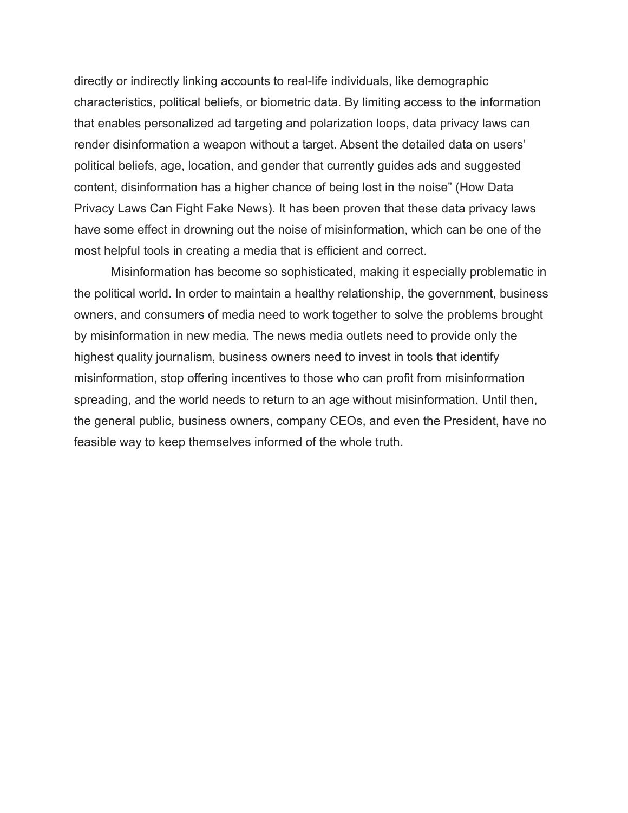directly or indirectly linking accounts to real-life individuals, like demographic characteristics, political beliefs, or biometric data. By limiting access to the information that enables personalized ad targeting and polarization loops, data privacy laws can render disinformation a weapon without a target. Absent the detailed data on users' political beliefs, age, location, and gender that currently guides ads and suggested content, disinformation has a higher chance of being lost in the noise" (How Data Privacy Laws Can Fight Fake News). It has been proven that these data privacy laws have some effect in drowning out the noise of misinformation, which can be one of the most helpful tools in creating a media that is efficient and correct.

Misinformation has become so sophisticated, making it especially problematic in the political world. In order to maintain a healthy relationship, the government, business owners, and consumers of media need to work together to solve the problems brought by misinformation in new media. The news media outlets need to provide only the highest quality journalism, business owners need to invest in tools that identify misinformation, stop offering incentives to those who can profit from misinformation spreading, and the world needs to return to an age without misinformation. Until then, the general public, business owners, company CEOs, and even the President, have no feasible way to keep themselves informed of the whole truth.